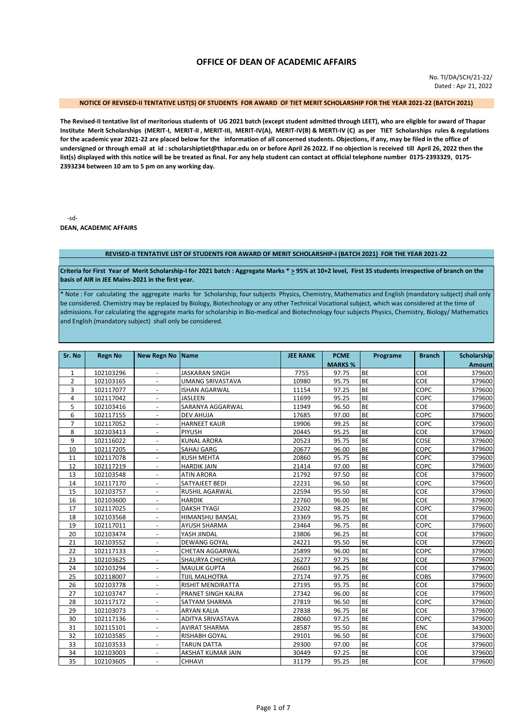# **OFFICE OF DEAN OF ACADEMIC AFFAIRS**

No. TI/DA/SCH/21-22/ Dated : Apr 21, 2022

# **NOTICE OF REVISED-II TENTATIVE LIST(S) OF STUDENTS FOR AWARD OF TIET MERIT SCHOLARSHIP FOR THE YEAR 2021-22 (BATCH 2021)**

**The Revised-II tentative list of meritorious students of UG 2021 batch (except student admitted through LEET), who are eligible for award of Thapar Institute Merit Scholarships (MERIT-I, MERIT-II , MERIT-III, MERIT-IV(A), MERIT-IV(B) & MERTI-IV (C) as per TIET Scholarships rules & regulations for the academic year 2021-22 are placed below for the information of all concerned students. Objections, if any, may be filed in the office of undersigned or through email at id : scholarshiptiet@thapar.edu on or before April 26 2022. If no objection is received till April 26, 2022 then the list(s) displayed with this notice will be be treated as final. For any help student can contact at official telephone number 0175-2393329, 0175- 2393234 between 10 am to 5 pm on any working day.** 

-sd-**DEAN, ACADEMIC AFFAIRS**

#### **REVISED-II TENTATIVE LIST OF STUDENTS FOR AWARD OF MERIT SCHOLARSHIP-I (BATCH 2021) FOR THE YEAR 2021-22**

**Criteria for First Year of Merit Scholarship-I for 2021 batch : Aggregate Marks \* > 95% at 10+2 level, First 35 students irrespective of branch on the basis of AIR in JEE Mains-2021 in the first year.**

\* Note : For calculating the aggregate marks for Scholarship, four subjects Physics, Chemistry, Mathematics and English (mandatory subject) shall only be considered. Chemistry may be replaced by Biology, Biotechnology or any other Technical Vocational subject, which was considered at the time of admissions. For calculating the aggregate marks for scholarship in Bio-medical and Biotechnology four subjects Physics, Chemistry, Biology/ Mathematics and English (mandatory subject) shall only be considered.

| Sr. No         | <b>Regn No</b> | <b>New Regn No</b>       | <b>Name</b>              | <b>JEE RANK</b> | <b>PCME</b>    | Programe  | <b>Branch</b> | Scholarship   |
|----------------|----------------|--------------------------|--------------------------|-----------------|----------------|-----------|---------------|---------------|
|                |                |                          |                          |                 | <b>MARKS %</b> |           |               | <b>Amount</b> |
| $\mathbf 1$    | 102103296      |                          | <b>JASKARAN SINGH</b>    | 7755            | 97.75          | <b>BE</b> | COE           | 379600        |
| $\overline{2}$ | 102103165      |                          | <b>UMANG SRIVASTAVA</b>  | 10980           | 95.75          | <b>BE</b> | COE           | 379600        |
| 3              | 102117077      |                          | <b>ISHAN AGARWAL</b>     | 11154           | 97.25          | <b>BE</b> | COPC          | 379600        |
| 4              | 102117042      |                          | <b>JASLEEN</b>           | 11699           | 95.25          | <b>BE</b> | COPC          | 379600        |
| 5              | 102103416      |                          | SARANYA AGGARWAL         | 11949           | 96.50          | <b>BE</b> | COE           | 379600        |
| 6              | 102117155      | $\overline{\phantom{a}}$ | <b>DEV AHUJA</b>         | 17685           | 97.00          | <b>BE</b> | COPC          | 379600        |
| $\overline{7}$ | 102117052      |                          | <b>HARNEET KAUR</b>      | 19906           | 99.25          | <b>BE</b> | COPC          | 379600        |
| 8              | 102103413      |                          | <b>PIYUSH</b>            | 20445           | 95.25          | <b>BE</b> | COE           | 379600        |
| 9              | 102116022      |                          | <b>KUNAL ARORA</b>       | 20523           | 95.75          | <b>BE</b> | COSE          | 379600        |
| 10             | 102117205      | $\overline{\phantom{a}}$ | SAHAJ GARG               | 20677           | 96.00          | <b>BE</b> | COPC          | 379600        |
| 11             | 102117078      |                          | <b>KUSH MEHTA</b>        | 20860           | 95.75          | <b>BE</b> | COPC          | 379600        |
| 12             | 102117219      |                          | <b>HARDIK JAIN</b>       | 21414           | 97.00          | <b>BE</b> | COPC          | 379600        |
| 13             | 102103548      | $\overline{a}$           | <b>ATIN ARORA</b>        | 21792           | 97.50          | <b>BE</b> | COE           | 379600        |
| 14             | 102117170      | $\overline{\phantom{a}}$ | SATYAJEET BEDI           | 22231           | 96.50          | <b>BE</b> | COPC          | 379600        |
| 15             | 102103757      |                          | <b>RUSHIL AGARWAL</b>    | 22594           | 95.50          | <b>BE</b> | COE           | 379600        |
| 16             | 102103600      | $\blacksquare$           | <b>HARDIK</b>            | 22760           | 96.00          | <b>BE</b> | COE           | 379600        |
| 17             | 102117025      | $\overline{a}$           | <b>DAKSH TYAGI</b>       | 23202           | 98.25          | <b>BE</b> | COPC          | 379600        |
| 18             | 102103568      | $\overline{\phantom{a}}$ | HIMANSHU BANSAL          | 23369           | 95.75          | <b>BE</b> | COE           | 379600        |
| 19             | 102117011      | $\overline{\phantom{a}}$ | <b>AYUSH SHARMA</b>      | 23464           | 96.75          | <b>BE</b> | COPC          | 379600        |
| 20             | 102103474      | $\overline{\phantom{a}}$ | YASH JINDAL              | 23806           | 96.25          | <b>BE</b> | COE           | 379600        |
| 21             | 102103552      | $\overline{\phantom{a}}$ | <b>DEWANG GOYAL</b>      | 24221           | 95.50          | <b>BE</b> | COE           | 379600        |
| 22             | 102117133      | $\overline{\phantom{a}}$ | <b>CHETAN AGGARWAL</b>   | 25899           | 96.00          | <b>BE</b> | COPC          | 379600        |
| 23             | 102103625      | $\blacksquare$           | SHAURYA CHICHRA          | 26277           | 97.75          | <b>BE</b> | COE           | 379600        |
| 24             | 102103294      | $\overline{a}$           | <b>MAULIK GUPTA</b>      | 26603           | 96.25          | <b>BE</b> | COE           | 379600        |
| 25             | 102118007      | $\overline{\phantom{a}}$ | <b>TIJIL MALHOTRA</b>    | 27174           | 97.75          | <b>BE</b> | COBS          | 379600        |
| 26             | 102103778      | $\overline{\phantom{a}}$ | <b>RISHIT MENDIRATTA</b> | 27195           | 95.75          | <b>BE</b> | COE           | 379600        |
| 27             | 102103747      | $\overline{a}$           | PRANET SINGH KALRA       | 27342           | 96.00          | <b>BE</b> | COE           | 379600        |
| 28             | 102117172      | $\overline{\phantom{a}}$ | SATYAM SHARMA            | 27819           | 96.50          | <b>BE</b> | COPC          | 379600        |
| 29             | 102103073      | $\overline{\phantom{a}}$ | <b>ARYAN KALIA</b>       | 27838           | 96.75          | <b>BE</b> | COE           | 379600        |
| 30             | 102117136      | $\blacksquare$           | ADITYA SRIVASTAVA        | 28060           | 97.25          | <b>BE</b> | COPC          | 379600        |
| 31             | 102115101      | $\overline{\phantom{a}}$ | <b>AVIRAT SHARMA</b>     | 28587           | 95.50          | <b>BE</b> | ENC           | 343000        |
| 32             | 102103585      | $\overline{\phantom{a}}$ | RISHABH GOYAL            | 29101           | 96.50          | <b>BE</b> | COE           | 379600        |
| 33             | 102103533      | $\overline{\phantom{a}}$ | <b>TARUN DATTA</b>       | 29300           | 97.00          | <b>BE</b> | COE           | 379600        |
| 34             | 102103003      | $\overline{a}$           | AKSHAT KUMAR JAIN        | 30449           | 97.25          | <b>BE</b> | COE           | 379600        |
| 35             | 102103605      | $\overline{a}$           | CHHAVI                   | 31179           | 95.25          | <b>BE</b> | COE           | 379600        |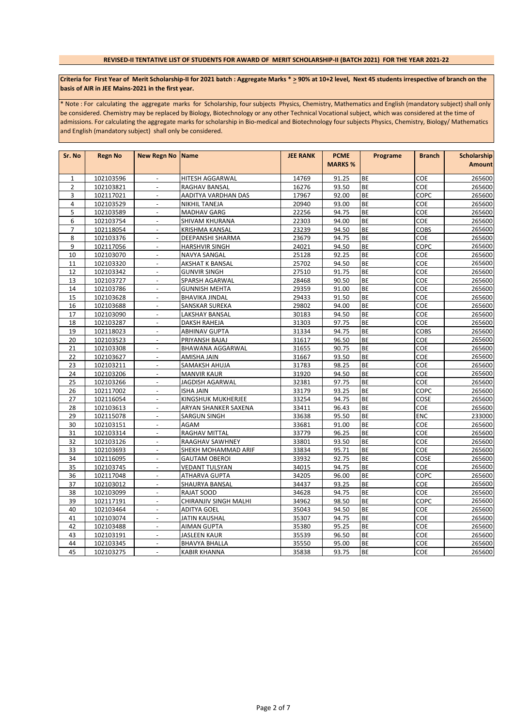## **REVISED-II TENTATIVE LIST OF STUDENTS FOR AWARD OF MERIT SCHOLARSHIP-II (BATCH 2021) FOR THE YEAR 2021-22**

## Criteria for First Year of Merit Scholarship-II for 2021 batch : Aggregate Marks \* > 90% at 10+2 level, Next 45 students irrespective of branch on the **basis of AIR in JEE Mains-2021 in the first year.**

\* Note : For calculating the aggregate marks for Scholarship, four subjects Physics, Chemistry, Mathematics and English (mandatory subject) shall only be considered. Chemistry may be replaced by Biology, Biotechnology or any other Technical Vocational subject, which was considered at the time of admissions. For calculating the aggregate marks for scholarship in Bio-medical and Biotechnology four subjects Physics, Chemistry, Biology/ Mathematics and English (mandatory subject) shall only be considered.

| Sr. No         | <b>Regn No</b> | <b>New Regn No Name</b>  |                        | <b>JEE RANK</b> | <b>PCME</b>    | Programe  | <b>Branch</b> | Scholarship   |
|----------------|----------------|--------------------------|------------------------|-----------------|----------------|-----------|---------------|---------------|
|                |                |                          |                        |                 | <b>MARKS %</b> |           |               | <b>Amount</b> |
| $\mathbf{1}$   | 102103596      | $\blacksquare$           | HITESH AGGARWAL        | 14769           | 91.25          | <b>BE</b> | COE           | 265600        |
| $\overline{2}$ | 102103821      | $\blacksquare$           | RAGHAV BANSAL          | 16276           | 93.50          | <b>BE</b> | COE           | 265600        |
| 3              | 102117021      | $\blacksquare$           | AADITYA VARDHAN DAS    | 17967           | 92.00          | BE        | COPC          | 265600        |
| 4              | 102103529      |                          | NIKHIL TANEJA          | 20940           | 93.00          | BE        | COE           | 265600        |
| 5              | 102103589      | $\overline{\phantom{a}}$ | <b>MADHAV GARG</b>     | 22256           | 94.75          | BE        | COE           | 265600        |
| 6              | 102103754      | $\sim$                   | SHIVAM KHURANA         | 22303           | 94.00          | <b>BE</b> | COE           | 265600        |
| $\overline{7}$ | 102118054      | $\mathcal{L}$            | <b>KRISHMA KANSAL</b>  | 23239           | 94.50          | <b>BE</b> | COBS          | 265600        |
| 8              | 102103376      | $\blacksquare$           | DEEPANSHI SHARMA       | 23679           | 94.75          | BE        | COE           | 265600        |
| 9              | 102117056      | $\blacksquare$           | <b>HARSHVIR SINGH</b>  | 24021           | 94.50          | BE        | COPC          | 265600        |
| 10             | 102103070      | $\overline{\phantom{a}}$ | NAVYA SANGAL           | 25128           | 92.25          | <b>BE</b> | COE           | 265600        |
| 11             | 102103320      |                          | <b>AKSHAT K BANSAL</b> | 25702           | 94.50          | <b>BE</b> | COE           | 265600        |
| 12             | 102103342      | $\overline{\phantom{a}}$ | <b>GUNVIR SINGH</b>    | 27510           | 91.75          | BE        | COE           | 265600        |
| 13             | 102103727      | $\overline{a}$           | SPARSH AGARWAL         | 28468           | 90.50          | BE        | COE           | 265600        |
| 14             | 102103786      | $\blacksquare$           | <b>GUNNISH MEHTA</b>   | 29359           | 91.00          | <b>BE</b> | COE           | 265600        |
| 15             | 102103628      | $\overline{\phantom{a}}$ | <b>BHAVIKA JINDAL</b>  | 29433           | 91.50          | <b>BE</b> | COE           | 265600        |
| 16             | 102103688      | $\mathbf{r}$             | SANSKAR SUREKA         | 29802           | 94.00          | BE        | COE           | 265600        |
| 17             | 102103090      | $\overline{\phantom{a}}$ | LAKSHAY BANSAL         | 30183           | 94.50          | BE        | COE           | 265600        |
| 18             | 102103287      | $\blacksquare$           | <b>DAKSH RAHEJA</b>    | 31303           | 97.75          | BE        | COE           | 265600        |
| 19             | 102118023      | $\blacksquare$           | <b>ABHINAV GUPTA</b>   | 31334           | 94.75          | BE        | <b>COBS</b>   | 265600        |
| 20             | 102103523      |                          | PRIYANSH BAJAJ         | 31617           | 96.50          | <b>BE</b> | COE           | 265600        |
| 21             | 102103308      | $\overline{\phantom{a}}$ | BHAWANA AGGARWAL       | 31655           | 90.75          | BE        | COE           | 265600        |
| 22             | 102103627      | $\overline{\phantom{a}}$ | AMISHA JAIN            | 31667           | 93.50          | <b>BE</b> | COE           | 265600        |
| 23             | 102103211      | $\mathcal{L}$            | SAMAKSH AHUJA          | 31783           | 98.25          | <b>BE</b> | COE           | 265600        |
| 24             | 102103206      | $\blacksquare$           | <b>MANVIR KAUR</b>     | 31920           | 94.50          | <b>BE</b> | COE           | 265600        |
| 25             | 102103266      | $\mathbf{r}$             | JAGDISH AGARWAL        | 32381           | 97.75          | BE        | COE           | 265600        |
| 26             | 102117002      | $\overline{\phantom{a}}$ | <b>ISHA JAIN</b>       | 33179           | 93.25          | BE        | COPC          | 265600        |
| 27             | 102116054      | $\overline{a}$           | KINGSHUK MUKHERJEE     | 33254           | 94.75          | BE        | COSE          | 265600        |
| 28             | 102103613      | $\overline{\phantom{a}}$ | ARYAN SHANKER SAXENA   | 33411           | 96.43          | <b>BE</b> | COE           | 265600        |
| 29             | 102115078      | $\overline{a}$           | SARGUN SINGH           | 33638           | 95.50          | BE        | ENC           | 233000        |
| 30             | 102103151      | $\mathbb{L}$             | AGAM                   | 33681           | 91.00          | BE        | COE           | 265600        |
| 31             | 102103314      | $\blacksquare$           | RAGHAV MITTAL          | 33779           | 96.25          | <b>BE</b> | COE           | 265600        |
| 32             | 102103126      | $\mathbf{r}$             | RAAGHAV SAWHNEY        | 33801           | 93.50          | <b>BE</b> | COE           | 265600        |
| 33             | 102103693      | $\blacksquare$           | SHEKH MOHAMMAD ARIF    | 33834           | 95.71          | <b>BE</b> | <b>COE</b>    | 265600        |
| 34             | 102116095      | $\overline{a}$           | <b>GAUTAM OBEROI</b>   | 33932           | 92.75          | BE        | COSE          | 265600        |
| 35             | 102103745      | $\blacksquare$           | <b>VEDANT TULSYAN</b>  | 34015           | 94.75          | BE        | COE           | 265600        |
| 36             | 102117048      | $\overline{\phantom{a}}$ | ATHARVA GUPTA          | 34205           | 96.00          | BE        | COPC          | 265600        |
| 37             | 102103012      | $\blacksquare$           | SHAURYA BANSAL         | 34437           | 93.25          | <b>BE</b> | COE           | 265600        |
| 38             | 102103099      | $\overline{a}$           | RAJAT SOOD             | 34628           | 94.75          | BE        | COE           | 265600        |
| 39             | 102117191      | $\mathbb{Z}^2$           | CHIRANJIV SINGH MALHI  | 34962           | 98.50          | BE        | COPC          | 265600        |
| 40             | 102103464      | $\blacksquare$           | <b>ADITYA GOEL</b>     | 35043           | 94.50          | <b>BE</b> | COE           | 265600        |
| 41             | 102103074      | $\mathbf{r}$             | JATIN KAUSHAL          | 35307           | 94.75          | <b>BE</b> | COE           | 265600        |
| 42             | 102103488      | $\overline{\phantom{a}}$ | AIMAN GUPTA            | 35380           | 95.25          | BE        | COE           | 265600        |
| 43             | 102103191      |                          | JASLEEN KAUR           | 35539           | 96.50          | BE        | COE           | 265600        |
| 44             | 102103345      | $\overline{\phantom{a}}$ | <b>BHAVYA BHALLA</b>   | 35550           | 95.00          | BE        | COE           | 265600        |
| 45             | 102103275      | $\sim$                   | <b>KABIR KHANNA</b>    | 35838           | 93.75          | BE        | COE           | 265600        |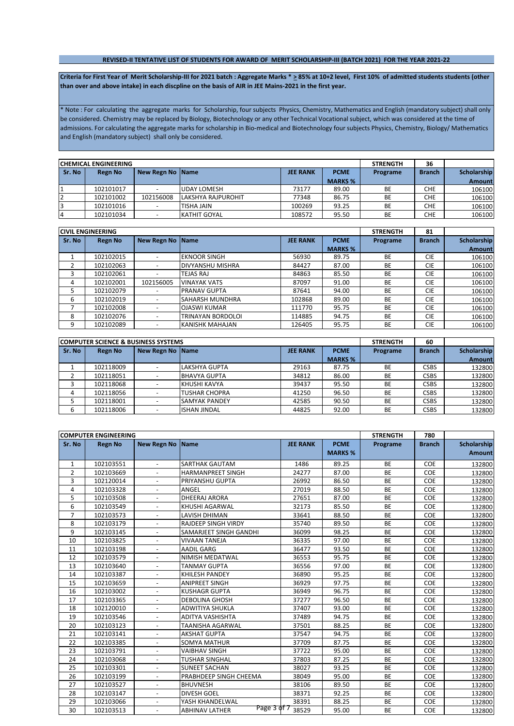#### **REVISED-II TENTATIVE LIST OF STUDENTS FOR AWARD OF MERIT SCHOLARSHIP-III (BATCH 2021) FOR THE YEAR 2021-22**

Criteria for First Year of Merit Scholarship-III for 2021 batch : Aggregate Marks \* > 85% at 10+2 level, First 10% of admitted students students (other **than over and above intake) in each discpline on the basis of AIR in JEE Mains-2021 in the first year.**

\* Note : For calculating the aggregate marks for Scholarship, four subjects Physics, Chemistry, Mathematics and English (mandatory subject) shall only be considered. Chemistry may be replaced by Biology, Biotechnology or any other Technical Vocational subject, which was considered at the time of admissions. For calculating the aggregate marks for scholarship in Bio-medical and Biotechnology four subjects Physics, Chemistry, Biology/ Mathematics and English (mandatory subject) shall only be considered.

|                | <b>CHEMICAL ENGINEERING</b> |                    |                     | <b>STRENGTH</b> | 36             |          |               |               |
|----------------|-----------------------------|--------------------|---------------------|-----------------|----------------|----------|---------------|---------------|
| Sr. No         | <b>Regn No</b>              | New Regn No   Name |                     | <b>JEE RANK</b> | <b>PCME</b>    | Programe | <b>Branch</b> | Scholarship   |
|                |                             |                    |                     |                 | <b>MARKS %</b> |          |               | <b>Amount</b> |
|                | 102101017                   |                    | <b>JUDAY LOMESH</b> | 73177           | 89.00          | BE       | <b>CHE</b>    | 106100        |
| $\overline{2}$ | 102101002                   | 102156008          | LAKSHYA RAJPUROHIT  | 77348           | 86.75          | BE       | <b>CHE</b>    | 106100        |
| 3              | 102101016                   |                    | TISHA JAIN          | 100269          | 93.25          | BE       | <b>CHE</b>    | 106100        |
| 4              | 102101034                   |                    | <b>KATHIT GOYAL</b> | 108572          | 95.50          | BE       | <b>CHE</b>    | 106100        |

|        | <b>CIVIL ENGINEERING</b> |                          |                         |                 |                | <b>STRENGTH</b> | 81            |                    |
|--------|--------------------------|--------------------------|-------------------------|-----------------|----------------|-----------------|---------------|--------------------|
| Sr. No | <b>Regn No</b>           | <b>New Regn No</b>       | <b>Name</b>             | <b>JEE RANK</b> | <b>PCME</b>    | Programe        | <b>Branch</b> | <b>Scholarship</b> |
|        |                          |                          |                         |                 | <b>MARKS %</b> |                 |               | <b>Amount</b>      |
|        | 102102015                |                          | <b>EKNOOR SINGH</b>     | 56930           | 89.75          | <b>BE</b>       | <b>CIE</b>    | 106100             |
|        | 102102063                |                          | <b>DIVYANSHU MISHRA</b> | 84427           | 87.00          | <b>BE</b>       | <b>CIE</b>    | 106100             |
|        | 102102061                |                          | <b>TEJAS RAJ</b>        | 84863           | 85.50          | BE              | <b>CIE</b>    | 106100             |
| 4      | 102102001                | 102156005                | <b>VINAYAK VATS</b>     | 87097           | 91.00          | <b>BE</b>       | <b>CIE</b>    | 106100             |
|        | 102102079                |                          | <b>PRANAV GUPTA</b>     | 87641           | 94.00          | <b>BE</b>       | <b>CIE</b>    | 106100             |
| 6      | 102102019                |                          | <b>SAHARSH MUNDHRA</b>  | 102868          | 89.00          | <b>BE</b>       | <b>CIE</b>    | 106100             |
|        | 102102008                |                          | <b>OJASWI KUMAR</b>     | 111770          | 95.75          | <b>BE</b>       | <b>CIE</b>    | 106100             |
| 8      | 102102076                |                          | TRINAYAN BORDOLOI       | 114885          | 94.75          | <b>BE</b>       | <b>CIE</b>    | 106100             |
| 9      | 102102089                | $\overline{\phantom{0}}$ | KANISHK MAHAJAN         | 126405          | 95.75          | <b>BE</b>       | <b>CIE</b>    | 106100             |

|        | <b>ICOMPUTER SCIENCE &amp; BUSINESS SYSTEMS</b> |                  |                       |                 |                | <b>STRENGTH</b> | 60            |                    |
|--------|-------------------------------------------------|------------------|-----------------------|-----------------|----------------|-----------------|---------------|--------------------|
| Sr. No | <b>Regn No</b>                                  | New Regn No Name |                       | <b>JEE RANK</b> | <b>PCME</b>    | Programe        | <b>Branch</b> | <b>Scholarship</b> |
|        |                                                 |                  |                       |                 | <b>MARKS %</b> |                 |               | Amount             |
|        | 102118009                                       |                  | <b>LAKSHYA GUPTA</b>  | 29163           | 87.75          | <b>BE</b>       | <b>CSBS</b>   | 132800             |
|        | 102118051                                       |                  | <b>BHAVYA GUPTA</b>   | 34812           | 86.00          | <b>BE</b>       | CSBS          | 132800             |
|        | 102118068                                       |                  | KHUSHI KAVYA          | 39437           | 95.50          | <b>BE</b>       | CSBS          | 132800             |
| 4      | 102118056                                       |                  | <b>ITUSHAR CHOPRA</b> | 41250           | 96.50          | <b>BE</b>       | <b>CSBS</b>   | 132800             |
|        | 102118001                                       |                  | <b>SAMYAK PANDEY</b>  | 42585           | 90.50          | <b>BE</b>       | CSBS          | 132800             |
|        | 102118006                                       |                  | <b>ISHAN JINDAL</b>   | 44825           | 92.00          | <b>BE</b>       | <b>CSBS</b>   | 132800             |

|                | <b>COMPUTER ENGINEERING</b> |                          |                                      |                 |                | <b>STRENGTH</b> | 780           |               |
|----------------|-----------------------------|--------------------------|--------------------------------------|-----------------|----------------|-----------------|---------------|---------------|
| Sr. No         | <b>Regn No</b>              | New Regn No Name         |                                      | <b>JEE RANK</b> | <b>PCME</b>    | Programe        | <b>Branch</b> | Scholarship   |
|                |                             |                          |                                      |                 | <b>MARKS %</b> |                 |               | <b>Amount</b> |
| 1              | 102103551                   | $\overline{\phantom{a}}$ | SARTHAK GAUTAM                       | 1486            | 89.25          | <b>BE</b>       | COE           | 132800        |
| 2              | 102103669                   | $\blacksquare$           | <b>HARMANPREET SINGH</b>             | 24277           | 87.00          | <b>BE</b>       | <b>COE</b>    | 132800        |
| 3              | 102120014                   |                          | PRIYANSHU GUPTA                      | 26992           | 86.50          | <b>BE</b>       | COE           | 132800        |
| $\overline{4}$ | 102103328                   |                          | ANGEL                                | 27019           | 88.50          | <b>BE</b>       | COE           | 132800        |
| 5              | 102103508                   |                          | DHEERAJ ARORA                        | 27651           | 87.00          | BE              | COE           | 132800        |
| 6              | 102103549                   | $\blacksquare$           | KHUSHI AGARWAL                       | 32173           | 85.50          | BE              | COE           | 132800        |
| $\overline{7}$ | 102103573                   |                          | <b>LAVISH DHIMAN</b>                 | 33641           | 88.50          | <b>BE</b>       | COE           | 132800        |
| 8              | 102103179                   | $\overline{\phantom{a}}$ | <b>RAJDEEP SINGH VIRDY</b>           | 35740           | 89.50          | <b>BE</b>       | COE           | 132800        |
| 9              | 102103145                   |                          | SAMARJEET SINGH GANDHI               | 36099           | 98.25          | <b>BE</b>       | COE           | 132800        |
| 10             | 102103825                   | $\overline{\phantom{a}}$ | <b>VIVAAN TANEJA</b>                 | 36335           | 97.00          | <b>BE</b>       | COE           | 132800        |
| 11             | 102103198                   | $\blacksquare$           | <b>AADIL GARG</b>                    | 36477           | 93.50          | BE              | COE           | 132800        |
| 12             | 102103579                   |                          | NIMISH MEDATWAL                      | 36553           | 95.75          | <b>BE</b>       | COE           | 132800        |
| 13             | 102103640                   | $\overline{\phantom{a}}$ | <b>TANMAY GUPTA</b>                  | 36556           | 97.00          | <b>BE</b>       | COE           | 132800        |
| 14             | 102103387                   |                          | KHILESH PANDEY                       | 36890           | 95.25          | <b>BE</b>       | COE           | 132800        |
| 15             | 102103659                   | $\overline{\phantom{a}}$ | <b>ANIPREET SINGH</b>                | 36929           | 97.75          | BE              | COE           | 132800        |
| 16             | 102103002                   | $\blacksquare$           | <b>KUSHAGR GUPTA</b>                 | 36949           | 96.75          | <b>BE</b>       | COE           | 132800        |
| 17             | 102103365                   | $\blacksquare$           | <b>DEBOLINA GHOSH</b>                | 37277           | 96.50          | <b>BE</b>       | COE           | 132800        |
| 18             | 102120010                   |                          | <b>ADWITIYA SHUKLA</b>               | 37407           | 93.00          | <b>BE</b>       | COE           | 132800        |
| 19             | 102103546                   | $\overline{\phantom{a}}$ | <b>ADITYA VASHISHTA</b>              | 37489           | 94.75          | <b>BE</b>       | COE           | 132800        |
| 20             | 102103123                   | $\blacksquare$           | TAANISHA AGARWAL                     | 37501           | 88.25          | <b>BE</b>       | COE           | 132800        |
| 21             | 102103141                   |                          | <b>AKSHAT GUPTA</b>                  | 37547           | 94.75          | <b>BE</b>       | COE           | 132800        |
| 22             | 102103385                   | $\overline{\phantom{a}}$ | <b>SOMYA MATHUR</b>                  | 37709           | 87.75          | <b>BE</b>       | COE           | 132800        |
| 23             | 102103791                   |                          | <b>VAIBHAV SINGH</b>                 | 37722           | 95.00          | <b>BE</b>       | COE           | 132800        |
| 24             | 102103068                   | $\overline{\phantom{a}}$ | <b>TUSHAR SINGHAL</b>                | 37803           | 87.25          | BE              | COE           | 132800        |
| 25             | 102103301                   | $\blacksquare$           | <b>SUNEET SACHAN</b>                 | 38027           | 93.25          | <b>BE</b>       | COE           | 132800        |
| 26             | 102103199                   | $\blacksquare$           | PRABHDEEP SINGH CHEEMA               | 38049           | 95.00          | <b>BE</b>       | COE           | 132800        |
| 27             | 102103527                   |                          | <b>BHUVNESH</b>                      | 38106           | 89.50          | <b>BE</b>       | COE           | 132800        |
| 28             | 102103147                   | $\overline{\phantom{a}}$ | <b>DIVESH GOEL</b>                   | 38371           | 92.25          | <b>BE</b>       | COE           | 132800        |
| 29             | 102103066                   | $\blacksquare$           | YASH KHANDELWAL                      | 38391           | 88.25          | BE              | COE           | 132800        |
| 30             | 102103513                   |                          | Page 3 of 7<br><b>ABHINAV LATHER</b> | 38529           | 95.00          | <b>BE</b>       | COE           | 132800        |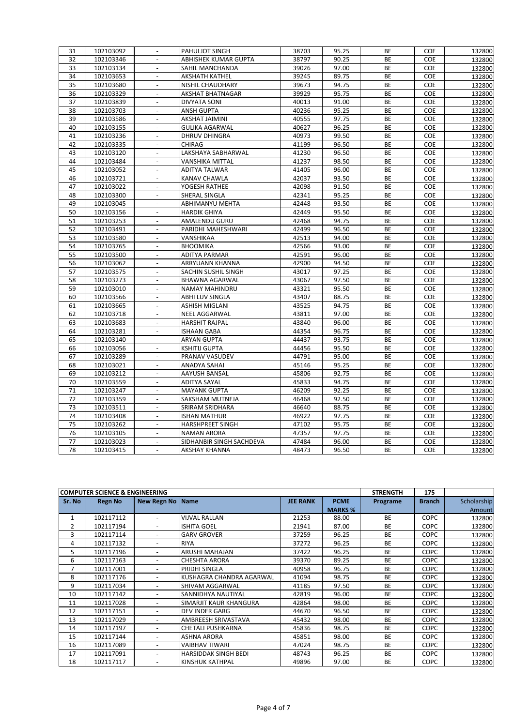| 31       | 102103092              | $\overline{\phantom{a}}$                             | PAHULJOT SINGH                        | 38703          | 95.25          | BE        | <b>COE</b> | 132800 |
|----------|------------------------|------------------------------------------------------|---------------------------------------|----------------|----------------|-----------|------------|--------|
| 32       | 102103346              | $\mathbb{Z}^+$                                       | ABHISHEK KUMAR GUPTA                  | 38797          | 90.25          | <b>BE</b> | COE        | 132800 |
| 33       | 102103134              | $\overline{\phantom{a}}$                             | SAHIL MANCHANDA                       | 39026          | 97.00          | BE        | COE        | 132800 |
| 34       | 102103653              | $\frac{1}{2}$                                        | <b>AKSHATH KATHEL</b>                 | 39245          | 89.75          | <b>BE</b> | COE        | 132800 |
| 35       | 102103680              | $\overline{\phantom{a}}$                             | NISHIL CHAUDHARY                      | 39673          | 94.75          | <b>BE</b> | COE        | 132800 |
| 36       | 102103329              | $\frac{1}{2}$                                        | <b>AKSHAT BHATNAGAR</b>               | 39929          | 95.75          | BE        | COE        | 132800 |
| 37       | 102103839              | $\overline{\phantom{a}}$                             | <b>DIVYATA SONI</b>                   | 40013          | 91.00          | <b>BE</b> | <b>COE</b> | 132800 |
| 38       | 102103703              |                                                      | <b>ANSH GUPTA</b>                     | 40236          | 95.25          | BE        | COE        | 132800 |
| 39       | 102103586              | $\Box$                                               | <b>AKSHAT JAIMINI</b>                 | 40555          | 97.75          | BE        | COE        | 132800 |
| 40       | 102103155              | $\overline{\phantom{a}}$                             | <b>GULIKA AGARWAL</b>                 | 40627          | 96.25          | <b>BE</b> | COE        | 132800 |
| 41       | 102103236              | $\blacksquare$                                       | <b>DHRUV DHINGRA</b>                  | 40973          | 99.50          | BE        | COE        | 132800 |
| 42       | 102103335              | $\frac{1}{2}$                                        | CHIRAG                                | 41199          | 96.50          | BE        | COE        | 132800 |
| 43       | 102103120              | $\blacksquare$                                       | LAKSHAYA SABHARWAL                    | 41230          | 96.50          | BE        | COE        | 132800 |
| 44       | 102103484              | $\frac{1}{2}$                                        | VANSHIKA MITTAL                       | 41237          | 98.50          | BE        | COE        | 132800 |
| 45       | 102103052              | $\Box$                                               | <b>ADITYA TALWAR</b>                  | 41405          | 96.00          | BE        | COE        | 132800 |
| 46       | 102103721              | $\blacksquare$                                       | KANAV CHAWLA                          | 42037          | 93.50          | BE        | COE        | 132800 |
| 47       | 102103022              |                                                      | YOGESH RATHEE                         | 42098          | 91.50          | BE        | COE        | 132800 |
| 48       | 102103300              | $\overline{\phantom{a}}$                             | SHERAL SINGLA                         | 42341          | 95.25          | BE        | COE        | 132800 |
| 49       | 102103045              | $\overline{\phantom{a}}$                             | ABHIMANYU MEHTA                       | 42448          | 93.50          | BE        | COE        | 132800 |
| 50       | 102103156              | $\blacksquare$                                       | <b>HARDIK GHIYA</b>                   | 42449          | 95.50          | <b>BE</b> | COE        | 132800 |
| 51       | 102103253              | $\blacksquare$                                       | AMALENDU GURU                         | 42468          | 94.75          | BE        | COE        | 132800 |
| 52       | 102103491              | $\Box$                                               | PARIDHI MAHESHWARI                    | 42499          | 96.50          | <b>BE</b> | COE        | 132800 |
| 53       | 102103580              | $\overline{a}$                                       | VANSHIKAA                             | 42513          | 94.00          | BE        | COE        | 132800 |
| 54       | 102103765              | $\frac{1}{2}$                                        | <b>BHOOMIKA</b>                       | 42566          | 93.00          | BE        | COE        | 132800 |
| 55       | 102103500              | $\blacksquare$                                       | <b>ADITYA PARMAR</b>                  | 42591          | 96.00          | BE        | <b>COE</b> | 132800 |
| 56       | 102103062              |                                                      | ARRYUANN KHANNA                       | 42900          | 94.50          | BE        | COE        | 132800 |
| 57       | 102103575              | $\overline{\phantom{a}}$                             | SACHIN SUSHIL SINGH                   | 43017          | 97.25          | BE        | COE        | 132800 |
| 58       | 102103273              | $\overline{a}$                                       | <b>BHAWNA AGARWAL</b>                 | 43067          | 97.50          | <b>BE</b> | <b>COE</b> | 132800 |
| 59       | 102103010              | $\overline{\phantom{a}}$                             | NAMAY MAHINDRU                        | 43321          | 95.50          | BE        | COE        | 132800 |
| 60       | 102103566              | $\overline{\phantom{a}}$                             | ABHI LUV SINGLA                       | 43407          | 88.75          | BE        | COE        | 132800 |
| 61       | 102103665              | $\blacksquare$                                       | <b>ASHISH MIGLANI</b>                 | 43525          | 94.75          | BE        | COE        | 132800 |
| 62       | 102103718              | $\frac{1}{2}$                                        | NEEL AGGARWAL                         | 43811          | 97.00          | BE        | COE        | 132800 |
| 63       | 102103683              | $\overline{\phantom{a}}$                             | <b>HARSHIT RAJPAL</b>                 | 43840          | 96.00          | <b>BE</b> | COE        | 132800 |
| 64       | 102103281              | $\overline{\phantom{a}}$                             | <b>ISHAAN GABA</b>                    | 44354          | 96.75          | BE        | COE        | 132800 |
| 65       | 102103140              |                                                      | <b>ARYAN GUPTA</b>                    | 44437          | 93.75          | <b>BE</b> | COE        | 132800 |
|          |                        | $\blacksquare$                                       |                                       |                |                | BE        |            |        |
| 66<br>67 | 102103056<br>102103289 | $\overline{\phantom{a}}$                             | <b>KSHITIJ GUPTA</b>                  | 44456<br>44791 | 95.50<br>95.00 | BE        | COE<br>COE | 132800 |
| 68       | 102103021              | $\mathbb{Z}^{\mathbb{Z}}$                            | PRANAV VASUDEV<br><b>ANADYA SAHAI</b> | 45146          | 95.25          | BE        | COE        | 132800 |
|          |                        |                                                      |                                       |                | 92.75          | BE        | COE        | 132800 |
| 69       | 102103212              | $\overline{\phantom{a}}$<br>$\overline{\phantom{a}}$ | AAYUSH BANSAL                         | 45806          | 94.75          | <b>BE</b> | COE        | 132800 |
| 70       | 102103559              |                                                      | <b>ADITYA SAYAL</b>                   | 45833          |                |           |            | 132800 |
| 71       | 102103247              | $\overline{\phantom{a}}$<br>$\overline{a}$           | <b>MAYANK GUPTA</b>                   | 46209          | 92.25          | BE        | COE        | 132800 |
| 72       | 102103359              |                                                      | SAKSHAM MUTNEJA                       | 46468          | 92.50          | BE        | COE        | 132800 |
| 73       | 102103511              | $\Box$                                               | SRIRAM SRIDHARA                       | 46640          | 88.75          | BE        | COE        | 132800 |
| 74       | 102103408              | $\blacksquare$                                       | <b>ISHAN MATHUR</b>                   | 46922          | 97.75          | BE        | COE        | 132800 |
| 75       | 102103262              | $\overline{\phantom{a}}$                             | HARSHPREET SINGH                      | 47102          | 95.75          | BE        | COE        | 132800 |
| 76       | 102103105              |                                                      | <b>NAMAN ARORA</b>                    | 47357          | 97.75          | BE        | COE        | 132800 |
| 77       | 102103023              | $\blacksquare$                                       | SIDHANBIR SINGH SACHDEVA              | 47484          | 96.00          | BE        | COE        | 132800 |
| 78       | 102103415              | $\overline{\phantom{a}}$                             | <b>AKSHAY KHANNA</b>                  | 48473          | 96.50          | BE        | COE        | 132800 |

|        | <b>COMPUTER SCIENCE &amp; ENGINEERING</b> |                          |                             |                 |                | <b>STRENGTH</b> | 175           |             |
|--------|-------------------------------------------|--------------------------|-----------------------------|-----------------|----------------|-----------------|---------------|-------------|
| Sr. No | <b>Regn No</b>                            | New Regn No Name         |                             | <b>JEE RANK</b> | <b>PCME</b>    | Programe        | <b>Branch</b> | Scholarship |
|        |                                           |                          |                             |                 | <b>MARKS %</b> |                 |               | Amount      |
| 1      | 102117112                                 | $\overline{\phantom{0}}$ | <b>VIJVAL RALLAN</b>        | 21253           | 88.00          | <b>BE</b>       | <b>COPC</b>   | 132800      |
| 2      | 102117194                                 | $\overline{\phantom{a}}$ | <b>ISHITA GOEL</b>          | 21941           | 87.00          | <b>BE</b>       | <b>COPC</b>   | 132800      |
| 3      | 102117114                                 | $\overline{\phantom{0}}$ | <b>GARV GROVER</b>          | 37259           | 96.25          | <b>BE</b>       | <b>COPC</b>   | 132800      |
| 4      | 102117132                                 | $\overline{\phantom{a}}$ | <b>RIYA</b>                 | 37272           | 96.25          | <b>BE</b>       | <b>COPC</b>   | 132800      |
| 5      | 102117196                                 | $\overline{\phantom{0}}$ | <b>ARUSHI MAHAJAN</b>       | 37422           | 96.25          | <b>BE</b>       | COPC          | 132800      |
| 6      | 102117163                                 | $\overline{\phantom{0}}$ | <b>CHESHTA ARORA</b>        | 39370           | 89.25          | <b>BE</b>       | <b>COPC</b>   | 132800      |
| 7      | 102117001                                 | $\overline{\phantom{0}}$ | PRIDHI SINGLA               | 40958           | 96.75          | <b>BE</b>       | <b>COPC</b>   | 132800      |
| 8      | 102117176                                 | $\overline{\phantom{0}}$ | KUSHAGRA CHANDRA AGARWAL    | 41094           | 98.75          | <b>BE</b>       | <b>COPC</b>   | 132800      |
| 9      | 102117034                                 | $\overline{\phantom{a}}$ | <b>SHIVAM AGGARWAL</b>      | 41185           | 97.50          | <b>BE</b>       | <b>COPC</b>   | 132800      |
| 10     | 102117142                                 | $\overline{\phantom{a}}$ | SANNIDHYA NAUTIYAL          | 42819           | 96.00          | <b>BE</b>       | <b>COPC</b>   | 132800      |
| 11     | 102117028                                 | $\overline{\phantom{0}}$ | SIMARJIT KAUR KHANGURA      | 42864           | 98.00          | <b>BE</b>       | <b>COPC</b>   | 132800      |
| 12     | 102117151                                 | $\overline{\phantom{0}}$ | <b>DEV INDER GARG</b>       | 44670           | 96.50          | <b>BE</b>       | <b>COPC</b>   | 132800      |
| 13     | 102117029                                 | $\overline{\phantom{a}}$ | AMBREESH SRIVASTAVA         | 45432           | 98.00          | <b>BE</b>       | <b>COPC</b>   | 132800      |
| 14     | 102117197                                 | $\overline{\phantom{a}}$ | <b>CHETALI PUSHKARNA</b>    | 45836           | 98.75          | <b>BE</b>       | <b>COPC</b>   | 132800      |
| 15     | 102117144                                 | $\overline{\phantom{a}}$ | <b>ASHNA ARORA</b>          | 45851           | 98.00          | <b>BE</b>       | <b>COPC</b>   | 132800      |
| 16     | 102117089                                 | $\overline{\phantom{a}}$ | <b>VAIBHAV TIWARI</b>       | 47024           | 98.75          | <b>BE</b>       | <b>COPC</b>   | 132800      |
| 17     | 102117091                                 | $\overline{\phantom{a}}$ | <b>HARSIDDAK SINGH BEDI</b> | 48743           | 96.25          | <b>BE</b>       | <b>COPC</b>   | 132800      |
| 18     | 102117117                                 | $\overline{\phantom{a}}$ | KINSHUK KATHPAL             | 49896           | 97.00          | <b>BE</b>       | <b>COPC</b>   | 132800      |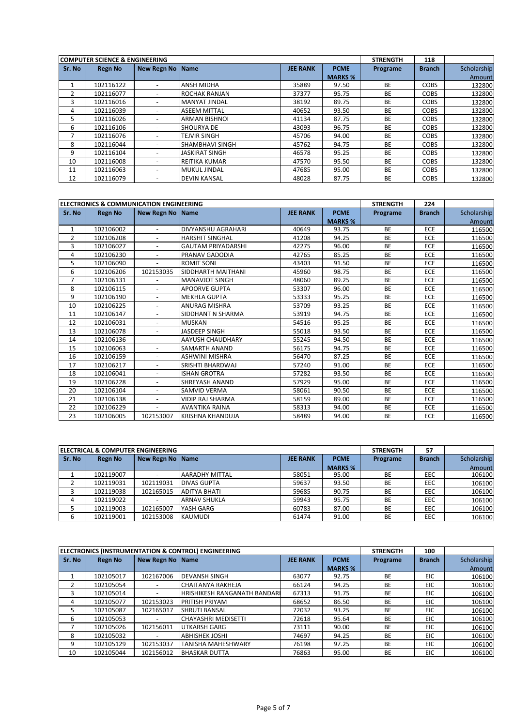|               | <b>COMPUTER SCIENCE &amp; ENGINEERING</b> |                          |                        |                 |                | <b>STRENGTH</b> | 118           |             |
|---------------|-------------------------------------------|--------------------------|------------------------|-----------------|----------------|-----------------|---------------|-------------|
| Sr. No        | Regn No                                   | <b>New Regn No</b>       | <b>Name</b>            | <b>JEE RANK</b> | <b>PCME</b>    | Programe        | <b>Branch</b> | Scholarship |
|               |                                           |                          |                        |                 | <b>MARKS %</b> |                 |               | Amount      |
|               | 102116122                                 | $\overline{\phantom{a}}$ | <b>ANSH MIDHA</b>      | 35889           | 97.50          | <b>BE</b>       | <b>COBS</b>   | 132800      |
| $\mathcal{P}$ | 102116077                                 |                          | <b>ROCHAK RANJAN</b>   | 37377           | 95.75          | <b>BE</b>       | <b>COBS</b>   | 132800      |
| 3             | 102116016                                 |                          | <b>MANYAT JINDAL</b>   | 38192           | 89.75          | <b>BE</b>       | <b>COBS</b>   | 132800      |
| 4             | 102116039                                 |                          | <b>ASEEM MITTAL</b>    | 40652           | 93.50          | <b>BE</b>       | <b>COBS</b>   | 132800      |
| 5             | 102116026                                 |                          | <b>ARMAN BISHNOL</b>   | 41134           | 87.75          | <b>BE</b>       | <b>COBS</b>   | 132800      |
| 6             | 102116106                                 |                          | <b>SHOURYA DE</b>      | 43093           | 96.75          | <b>BE</b>       | <b>COBS</b>   | 132800      |
|               | 102116076                                 |                          | <b>TEJVIR SINGH</b>    | 45706           | 94.00          | <b>BE</b>       | <b>COBS</b>   | 132800      |
| 8             | 102116044                                 |                          | <b>SHAMBHAVI SINGH</b> | 45762           | 94.75          | <b>BE</b>       | <b>COBS</b>   | 132800      |
| 9             | 102116104                                 | $\overline{\phantom{0}}$ | JASKIRAT SINGH         | 46578           | 95.25          | <b>BE</b>       | <b>COBS</b>   | 132800      |
| 10            | 102116008                                 | $\overline{\phantom{0}}$ | <b>REITIKA KUMAR</b>   | 47570           | 95.50          | <b>BE</b>       | <b>COBS</b>   | 132800      |
| 11            | 102116063                                 | $\overline{\phantom{0}}$ | <b>MUKUL JINDAL</b>    | 47685           | 95.00          | <b>BE</b>       | <b>COBS</b>   | 132800      |
| 12            | 102116079                                 | ۰                        | <b>DEVIN KANSAL</b>    | 48028           | 87.75          | <b>BE</b>       | <b>COBS</b>   | 132800      |

|        | <b>ELECTRONICS &amp; COMMUNICATION ENGINEERING</b> |                          |                           |                 |                | <b>STRENGTH</b> | 224           |             |
|--------|----------------------------------------------------|--------------------------|---------------------------|-----------------|----------------|-----------------|---------------|-------------|
| Sr. No | <b>Regn No</b>                                     | New Regn No Name         |                           | <b>JEE RANK</b> | <b>PCME</b>    | Programe        | <b>Branch</b> | Scholarship |
|        |                                                    |                          |                           |                 | <b>MARKS %</b> |                 |               | Amount      |
| 1      | 102106002                                          | $\overline{\phantom{a}}$ | DIVYANSHU AGRAHARI        | 40649           | 93.75          | <b>BE</b>       | ECE           | 116500      |
| 2      | 102106208                                          | $\overline{\phantom{0}}$ | <b>HARSHIT SINGHAL</b>    | 41208           | 94.25          | <b>BE</b>       | ECE           | 116500      |
| 3      | 102106027                                          | $\overline{\phantom{a}}$ | <b>GAUTAM PRIYADARSHI</b> | 42275           | 96.00          | <b>BE</b>       | <b>ECE</b>    | 116500      |
| 4      | 102106230                                          | $\overline{\phantom{0}}$ | PRANAV GADODIA            | 42765           | 85.25          | <b>BE</b>       | ECE           | 116500      |
| 5      | 102106090                                          | $\blacksquare$           | <b>ROMIT SONI</b>         | 43403           | 91.50          | <b>BE</b>       | ECE           | 116500      |
| 6      | 102106206                                          | 102153035                | SIDDHARTH MAITHANI        | 45960           | 98.75          | <b>BE</b>       | ECE           | 116500      |
| 7      | 102106131                                          |                          | <b>MANAVJOT SINGH</b>     | 48060           | 89.25          | <b>BE</b>       | ECE           | 116500      |
| 8      | 102106115                                          | $\blacksquare$           | <b>APOORVE GUPTA</b>      | 53307           | 96.00          | <b>BE</b>       | ECE           | 116500      |
| 9      | 102106190                                          | $\overline{\phantom{0}}$ | <b>MEKHLA GUPTA</b>       | 53333           | 95.25          | <b>BE</b>       | ECE           | 116500      |
| 10     | 102106225                                          | $\overline{\phantom{0}}$ | <b>ANURAG MISHRA</b>      | 53709           | 93.25          | <b>BE</b>       | ECE           | 116500      |
| 11     | 102106147                                          |                          | SIDDHANT N SHARMA         | 53919           | 94.75          | <b>BE</b>       | ECE           | 116500      |
| 12     | 102106031                                          | $\overline{a}$           | <b>MUSKAN</b>             | 54516           | 95.25          | <b>BE</b>       | ECE           | 116500      |
| 13     | 102106078                                          | $\overline{\phantom{0}}$ | JASDEEP SINGH             | 55018           | 93.50          | <b>BE</b>       | <b>ECE</b>    | 116500      |
| 14     | 102106136                                          | $\overline{\phantom{0}}$ | AAYUSH CHAUDHARY          | 55245           | 94.50          | <b>BE</b>       | ECE           | 116500      |
| 15     | 102106063                                          | $\overline{\phantom{0}}$ | SAMARTH ANAND             | 56175           | 94.75          | <b>BE</b>       | <b>ECE</b>    | 116500      |
| 16     | 102106159                                          | $\overline{\phantom{a}}$ | <b>ASHWINI MISHRA</b>     | 56470           | 87.25          | <b>BE</b>       | <b>ECE</b>    | 116500      |
| 17     | 102106217                                          | $\blacksquare$           | SRISHTI BHARDWAJ          | 57240           | 91.00          | <b>BE</b>       | ECE           | 116500      |
| 18     | 102106041                                          |                          | <b>ISHAN GROTRA</b>       | 57282           | 93.50          | <b>BE</b>       | ECE           | 116500      |
| 19     | 102106228                                          |                          | <b>SHREYASH ANAND</b>     | 57929           | 95.00          | <b>BE</b>       | ECE           | 116500      |
| 20     | 102106104                                          | $\blacksquare$           | <b>SAMVID VERMA</b>       | 58061           | 90.50          | <b>BE</b>       | ECE           | 116500      |
| 21     | 102106138                                          | $\blacksquare$           | <b>VIDIP RAJ SHARMA</b>   | 58159           | 89.00          | <b>BE</b>       | ECE           | 116500      |
| 22     | 102106229                                          | $\blacksquare$           | <b>AVANTIKA RAINA</b>     | 58313           | 94.00          | <b>BE</b>       | ECE           | 116500      |
| 23     | 102106005                                          | 102153007                | <b>KRISHNA KHANDUJA</b>   | 58489           | 94.00          | <b>BE</b>       | ECE           | 116500      |

|        | IELECTRICAL & COMPUTER ENGINEERING |                    |                       |                 |                |           | 57            |             |
|--------|------------------------------------|--------------------|-----------------------|-----------------|----------------|-----------|---------------|-------------|
| Sr. No | <b>Regn No</b>                     | New Regn No   Name |                       | <b>JEE RANK</b> | <b>PCME</b>    | Programe  | <b>Branch</b> | Scholarship |
|        |                                    |                    |                       |                 | <b>MARKS %</b> |           |               | Amount      |
|        | 102119007                          |                    | <b>AARADHY MITTAL</b> | 58051           | 95.00          | BE        | EEC           | 106100      |
|        | 102119031                          | 102119031          | <b>DIVAS GUPTA</b>    | 59637           | 93.50          | BE        | EEC           | 106100      |
|        | 102119038                          | 102165015          | <b>ADITYA BHATI</b>   | 59685           | 90.75          | BE        | EEC           | 106100      |
| 4      | 102119022                          |                    | <b>ARNAV SHUKLA</b>   | 59943           | 95.75          | BE        | EEC           | 106100      |
|        | 102119003                          | 102165007          | YASH GARG             | 60783           | 87.00          | BE        | <b>EEC</b>    | 106100      |
| 6      | 102119001                          | 102153008          | KAUMUDI               | 61474           | 91.00          | <b>BE</b> | EEC           | 106100      |

|        |                |                          | <b>ELECTRONICS (INSTRUMENTATION &amp; CONTROL) ENGINEERING</b> |                 |                | <b>STRENGTH</b> | 100           |             |
|--------|----------------|--------------------------|----------------------------------------------------------------|-----------------|----------------|-----------------|---------------|-------------|
| Sr. No | <b>Regn No</b> | New Regn No Name         |                                                                | <b>JEE RANK</b> | <b>PCME</b>    | Programe        | <b>Branch</b> | Scholarship |
|        |                |                          |                                                                |                 | <b>MARKS %</b> |                 |               | Amount      |
|        | 102105017      | 102167006                | <b>DEVANSH SINGH</b>                                           | 63077           | 92.75          | <b>BE</b>       | <b>EIC</b>    | 106100      |
|        | 102105054      | $\overline{\phantom{a}}$ | CHAITANYA RAKHEJA                                              | 66124           | 94.25          | <b>BE</b>       | <b>EIC</b>    | 106100      |
|        | 102105014      | $\overline{\phantom{a}}$ | IHRISHIKESH RANGANATH BANDARI                                  | 67313           | 91.75          | <b>BE</b>       | EIC           | 106100      |
| 4      | 102105077      | 102153023                | <b>PRITISH PRIYAM</b>                                          | 68652           | 86.50          | <b>BE</b>       | EIC           | 106100      |
| 5      | 102105087      | 102165017                | <b>SHRUTI BANSAL</b>                                           | 72032           | 93.25          | <b>BE</b>       | <b>EIC</b>    | 106100      |
| 6      | 102105053      |                          | CHAYASHRI MEDISETTI                                            | 72618           | 95.64          | BE              | EIC           | 106100      |
|        | 102105026      | 102156011                | <b>UTKARSH GARG</b>                                            | 73111           | 90.00          | <b>BE</b>       | EIC           | 106100      |
| 8      | 102105032      |                          | <b>ABHISHEK JOSHI</b>                                          | 74697           | 94.25          | <b>BE</b>       | EIC           | 106100      |
| 9      | 102105129      | 102153037                | <b>TANISHA MAHESHWARY</b>                                      | 76198           | 97.25          | <b>BE</b>       | <b>EIC</b>    | 106100      |
| 10     | 102105044      | 102156012                | <b>BHASKAR DUTTA</b>                                           | 76863           | 95.00          | <b>BE</b>       | EIC           | 106100      |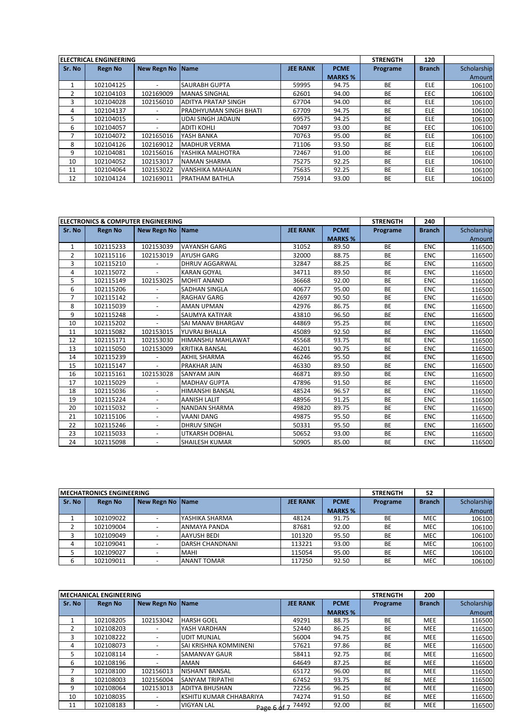|        | <b>ELECTRICAL ENGINEERING</b> |                    |                            |                 |                | <b>STRENGTH</b> | 120           |             |
|--------|-------------------------------|--------------------|----------------------------|-----------------|----------------|-----------------|---------------|-------------|
| Sr. No | <b>Regn No</b>                | <b>New Regn No</b> | <b>Name</b>                | <b>JEE RANK</b> | <b>PCME</b>    | Programe        | <b>Branch</b> | Scholarship |
|        |                               |                    |                            |                 | <b>MARKS %</b> |                 |               | Amount      |
| 1      | 102104125                     |                    | <b>SAURABH GUPTA</b>       | 59995           | 94.75          | <b>BE</b>       | <b>ELE</b>    | 106100      |
| 2      | 102104103                     | 102169009          | <b>MANAS SINGHAL</b>       | 62601           | 94.00          | <b>BE</b>       | <b>EEC</b>    | 106100      |
| 3      | 102104028                     | 102156010          | <b>ADITYA PRATAP SINGH</b> | 67704           | 94.00          | <b>BE</b>       | <b>ELE</b>    | 106100      |
| 4      | 102104137                     |                    | PRADHYUMAN SINGH BHATI     | 67709           | 94.75          | <b>BE</b>       | <b>ELE</b>    | 106100      |
| 5      | 102104015                     |                    | <b>UDAI SINGH JADAUN</b>   | 69575           | 94.25          | <b>BE</b>       | <b>ELE</b>    | 106100      |
| 6      | 102104057                     |                    | <b>ADITI KOHLI</b>         | 70497           | 93.00          | <b>BE</b>       | EEC           | 106100      |
| ⇁      | 102104072                     | 102165016          | YASH BANKA                 | 70763           | 95.00          | <b>BE</b>       | <b>ELE</b>    | 106100      |
| 8      | 102104126                     | 102169012          | <b>MADHUR VERMA</b>        | 71106           | 93.50          | ВE              | <b>ELE</b>    | 106100      |
| 9      | 102104081                     | 102156016          | YASHIKA MALHOTRA           | 72467           | 91.00          | <b>BE</b>       | <b>ELE</b>    | 106100      |
| 10     | 102104052                     | 102153017          | NAMAN SHARMA               | 75275           | 92.25          | <b>BE</b>       | <b>ELE</b>    | 106100      |
| 11     | 102104064                     | 102153022          | <b>VANSHIKA MAHAJAN</b>    | 75635           | 92.25          | <b>BE</b>       | <b>ELE</b>    | 106100      |
| 12     | 102104124                     | 102169011          | <b>PRATHAM BATHLA</b>      | 75914           | 93.00          | <b>BE</b>       | <b>ELE</b>    | 106100      |

|                | <b>ELECTRONICS &amp; COMPUTER ENGINEERING</b> |                          |                       |                 |                | <b>STRENGTH</b> | 240           |             |
|----------------|-----------------------------------------------|--------------------------|-----------------------|-----------------|----------------|-----------------|---------------|-------------|
| Sr. No         | <b>Regn No</b>                                | New Regn No Name         |                       | <b>JEE RANK</b> | <b>PCME</b>    | Programe        | <b>Branch</b> | Scholarship |
|                |                                               |                          |                       |                 | <b>MARKS %</b> |                 |               | Amount      |
| 1              | 102115233                                     | 102153039                | <b>VAYANSH GARG</b>   | 31052           | 89.50          | <b>BE</b>       | <b>ENC</b>    | 116500      |
| $\overline{2}$ | 102115116                                     | 102153019                | <b>AYUSH GARG</b>     | 32000           | 88.75          | <b>BE</b>       | <b>ENC</b>    | 116500      |
| 3              | 102115210                                     |                          | <b>DHRUV AGGARWAL</b> | 32847           | 88.25          | <b>BE</b>       | <b>ENC</b>    | 116500      |
| 4              | 102115072                                     | $\overline{\phantom{a}}$ | <b>KARAN GOYAL</b>    | 34711           | 89.50          | <b>BE</b>       | <b>ENC</b>    | 116500      |
| 5              | 102115149                                     | 102153025                | <b>MOHIT ANAND</b>    | 36668           | 92.00          | <b>BE</b>       | <b>ENC</b>    | 116500      |
| 6              | 102115206                                     |                          | <b>SADHAN SINGLA</b>  | 40677           | 95.00          | <b>BE</b>       | <b>ENC</b>    | 116500      |
| $\overline{7}$ | 102115142                                     | $\blacksquare$           | <b>RAGHAV GARG</b>    | 42697           | 90.50          | <b>BE</b>       | <b>ENC</b>    | 116500      |
| 8              | 102115039                                     | $\overline{\phantom{0}}$ | <b>AMAN UPMAN</b>     | 42976           | 86.75          | <b>BE</b>       | <b>ENC</b>    | 116500      |
| 9              | 102115248                                     |                          | SAUMYA KATIYAR        | 43810           | 96.50          | <b>BE</b>       | <b>ENC</b>    | 116500      |
| 10             | 102115202                                     |                          | SAI MANAV BHARGAV     | 44869           | 95.25          | <b>BE</b>       | <b>ENC</b>    | 116500      |
| 11             | 102115082                                     | 102153015                | YUVRAJ BHALLA         | 45089           | 92.50          | <b>BE</b>       | <b>ENC</b>    | 116500      |
| 12             | 102115171                                     | 102153030                | HIMANSHU MAHLAWAT     | 45568           | 93.75          | <b>BE</b>       | <b>ENC</b>    | 116500      |
| 13             | 102115050                                     | 102153009                | <b>KRITIKA BANSAL</b> | 46201           | 90.75          | <b>BE</b>       | <b>ENC</b>    | 116500      |
| 14             | 102115239                                     |                          | <b>AKHIL SHARMA</b>   | 46246           | 95.50          | <b>BE</b>       | <b>ENC</b>    | 116500      |
| 15             | 102115147                                     | $\blacksquare$           | PRAKHAR JAIN          | 46330           | 89.50          | <b>BE</b>       | <b>ENC</b>    | 116500      |
| 16             | 102115161                                     | 102153028                | <b>SANYAM JAIN</b>    | 46871           | 89.50          | <b>BE</b>       | <b>ENC</b>    | 116500      |
| 17             | 102115029                                     |                          | <b>MADHAV GUPTA</b>   | 47896           | 91.50          | <b>BE</b>       | <b>ENC</b>    | 116500      |
| 18             | 102115036                                     |                          | HIMANSHI BANSAL       | 48524           | 96.57          | <b>BE</b>       | <b>ENC</b>    | 116500      |
| 19             | 102115224                                     | $\blacksquare$           | <b>AANISH LALIT</b>   | 48956           | 91.25          | <b>BE</b>       | <b>ENC</b>    | 116500      |
| 20             | 102115032                                     | $\overline{\phantom{0}}$ | <b>NANDAN SHARMA</b>  | 49820           | 89.75          | <b>BE</b>       | <b>ENC</b>    | 116500      |
| 21             | 102115106                                     | $\sim$                   | <b>VAANI DANG</b>     | 49875           | 95.50          | <b>BE</b>       | <b>ENC</b>    | 116500      |
| 22             | 102115246                                     |                          | <b>DHRUV SINGH</b>    | 50331           | 95.50          | <b>BE</b>       | <b>ENC</b>    | 116500      |
| 23             | 102115033                                     | $\overline{a}$           | <b>UTKARSH DOBHAL</b> | 50652           | 93.00          | <b>BE</b>       | <b>ENC</b>    | 116500      |
| 24             | 102115098                                     | $\overline{\phantom{a}}$ | <b>SHAILESH KUMAR</b> | 50905           | 85.00          | <b>BE</b>       | <b>ENC</b>    | 116500      |

|        | <b>IMECHATRONICS ENGINEERING</b> |                  |                     |                 |                |           | 52            |             |
|--------|----------------------------------|------------------|---------------------|-----------------|----------------|-----------|---------------|-------------|
| Sr. No | <b>Regn No</b>                   | New Regn No Name |                     | <b>JEE RANK</b> | <b>PCME</b>    | Programe  | <b>Branch</b> | Scholarship |
|        |                                  |                  |                     |                 | <b>MARKS %</b> |           |               | Amount      |
|        | 102109022                        |                  | YASHIKA SHARMA      | 48124           | 91.75          | BE        | <b>MEC</b>    | 106100      |
|        | 102109004                        |                  | <b>ANMAYA PANDA</b> | 87681           | 92.00          | BE        | <b>MEC</b>    | 106100      |
|        | 102109049                        |                  | <b>AAYUSH BEDI</b>  | 101320          | 95.50          | <b>BE</b> | <b>MEC</b>    | 106100      |
| 4      | 102109041                        |                  | DARSH CHANDNANI     | 113221          | 93.00          | <b>BE</b> | <b>MEC</b>    | 106100      |
|        | 102109027                        |                  | <b>MAHI</b>         | 115054          | 95.00          | BE        | <b>MEC</b>    | 106100      |
|        | 102109011                        |                  | <b>ANANT TOMAR</b>  | 117250          | 92.50          | BE        | <b>MEC</b>    | 106100      |

|        | <b>IMECHANICAL ENGINEERING</b> |                          |                                  |                 |                | <b>STRENGTH</b> | 200           |             |
|--------|--------------------------------|--------------------------|----------------------------------|-----------------|----------------|-----------------|---------------|-------------|
| Sr. No | Regn No                        | New Regn No Name         |                                  | <b>JEE RANK</b> | <b>PCME</b>    | Programe        | <b>Branch</b> | Scholarship |
|        |                                |                          |                                  |                 | <b>MARKS %</b> |                 |               | Amount      |
|        | 102108205                      | 102153042                | <b>HARSH GOEL</b>                | 49291           | 88.75          | <b>BE</b>       | <b>MEE</b>    | 116500      |
| 2      | 102108203                      | $\overline{\phantom{0}}$ | YASH VARDHAN                     | 52440           | 86.25          | <b>BE</b>       | <b>MEE</b>    | 116500      |
| 3      | 102108222                      |                          | <b>UDIT MUNJAL</b>               | 56004           | 94.75          | <b>BE</b>       | <b>MEE</b>    | 116500      |
| 4      | 102108073                      | $\overline{\phantom{0}}$ | <b>SAI KRISHNA KOMMINENI</b>     | 57621           | 97.86          | <b>BE</b>       | <b>MEE</b>    | 116500      |
| 5.     | 102108114                      | $\overline{\phantom{0}}$ | <b>SAMANVAY GAUR</b>             | 58411           | 92.75          | <b>BE</b>       | <b>MEE</b>    | 116500      |
| 6      | 102108196                      | $\overline{\phantom{a}}$ | <b>AMAN</b>                      | 64649           | 87.25          | <b>BE</b>       | <b>MEE</b>    | 116500      |
| 7      | 102108100                      | 102156013                | <b>NISHANT BANSAL</b>            | 65172           | 96.00          | <b>BE</b>       | <b>MEE</b>    | 116500      |
| 8      | 102108003                      | 102156004                | <b>SANYAM TRIPATHI</b>           | 67452           | 93.75          | <b>BE</b>       | <b>MEE</b>    | 116500      |
| 9      | 102108064                      | 102153013                | ADITYA BHUSHAN                   | 72256           | 96.25          | <b>BE</b>       | <b>MEE</b>    | 116500      |
| 10     | 102108035                      |                          | KSHITIJ KUMAR CHHABARIYA         | 74274           | 91.50          | <b>BE</b>       | <b>MEE</b>    | 116500      |
| 11     | 102108183                      | $\overline{\phantom{0}}$ | <b>VIGYAN LAL</b><br>Page 6.0f.7 | 74492           | 92.00          | <b>BE</b>       | <b>MEE</b>    | 116500      |